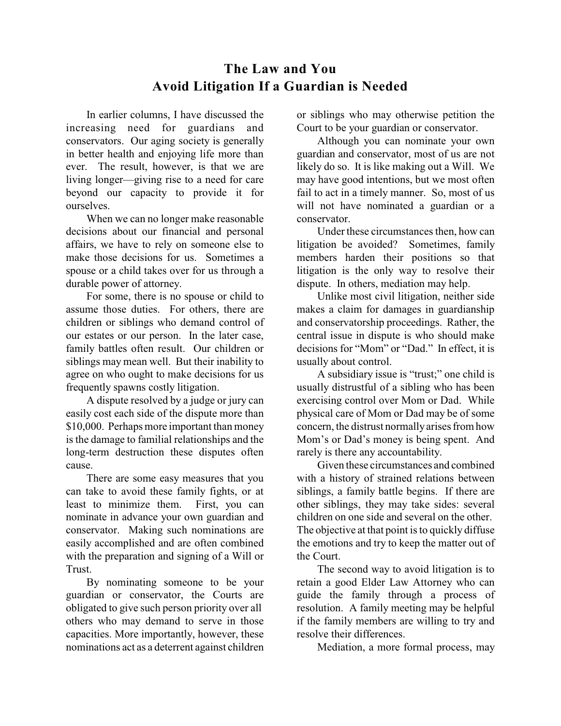## **The Law and You Avoid Litigation If a Guardian is Needed**

In earlier columns, I have discussed the increasing need for guardians and conservators. Our aging society is generally in better health and enjoying life more than ever. The result, however, is that we are living longer—giving rise to a need for care beyond our capacity to provide it for ourselves.

When we can no longer make reasonable decisions about our financial and personal affairs, we have to rely on someone else to make those decisions for us. Sometimes a spouse or a child takes over for us through a durable power of attorney.

For some, there is no spouse or child to assume those duties. For others, there are children or siblings who demand control of our estates or our person. In the later case, family battles often result. Our children or siblings may mean well. But their inability to agree on who ought to make decisions for us frequently spawns costly litigation.

A dispute resolved by a judge or jury can easily cost each side of the dispute more than \$10,000. Perhaps more important than money is the damage to familial relationships and the long-term destruction these disputes often cause.

There are some easy measures that you can take to avoid these family fights, or at least to minimize them. First, you can nominate in advance your own guardian and conservator. Making such nominations are easily accomplished and are often combined with the preparation and signing of a Will or Trust.

By nominating someone to be your guardian or conservator, the Courts are obligated to give such person priority over all others who may demand to serve in those capacities. More importantly, however, these nominations act as a deterrent against children or siblings who may otherwise petition the Court to be your guardian or conservator.

Although you can nominate your own guardian and conservator, most of us are not likely do so. It is like making out a Will. We may have good intentions, but we most often fail to act in a timely manner. So, most of us will not have nominated a guardian or a conservator.

Under these circumstances then, how can litigation be avoided? Sometimes, family members harden their positions so that litigation is the only way to resolve their dispute. In others, mediation may help.

Unlike most civil litigation, neither side makes a claim for damages in guardianship and conservatorship proceedings. Rather, the central issue in dispute is who should make decisions for "Mom" or "Dad." In effect, it is usually about control.

A subsidiary issue is "trust;" one child is usually distrustful of a sibling who has been exercising control over Mom or Dad. While physical care of Mom or Dad may be of some concern, the distrust normallyarises from how Mom's or Dad's money is being spent. And rarely is there any accountability.

Given these circumstances and combined with a history of strained relations between siblings, a family battle begins. If there are other siblings, they may take sides: several children on one side and several on the other. The objective at that point is to quickly diffuse the emotions and try to keep the matter out of the Court.

The second way to avoid litigation is to retain a good Elder Law Attorney who can guide the family through a process of resolution. A family meeting may be helpful if the family members are willing to try and resolve their differences.

Mediation, a more formal process, may